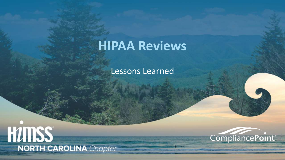# **HIPAA Reviews**

Lessons Learned



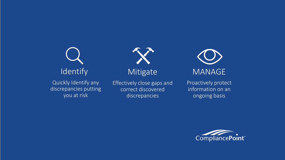**Identify** Quickly Identify any discrepancies putting you at risk

Effectively close gaps and correct discovered discrepancies

Mitigate

MANAGE

Proactively protect information on an ongoing basis

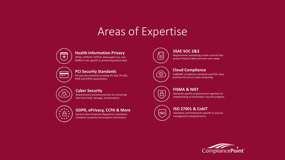### Areas of Expertise



**Health Information Privacy**

HIPAA, HITRUST, HITECH, Meaningful Use, and MARS-E rules specific to protecting patient data.



**PCI Security Standards**

PCI security standards including PCI DSS, PA-DSS, P2PE and EI3PA requirements



#### **Cyber Security**

Requirements and best practices for protecting data from theft, damage, and disruption.



#### **GDPR, ePrivacy, CCPA & More**

General Data Protection Regulation compliance standards issued by the European Commission.



#### **SSAE SOC 2&3**

Requirements mandating certain controls that protect financial data and meet user needs.



ල

**ISO** 

#### **Cloud Compliance**

FedRAMP compliance standards and CSA's best practices for secure cloud computing.

#### **FISMA & NIST**

Standards specific to government agencies for implementing an information security program.

#### **ISO 27001 & CobIT**

Standards and frameworks specific to security management and governance.

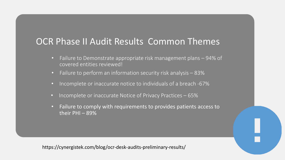### OCR Phase II Audit Results Common Themes

- Failure to Demonstrate appropriate risk management plans 94% of covered entities reviewed!
- Failure to perform an information security risk analysis 83%
- Incomplete or inaccurate notice to individuals of a breach -67%
- Incomplete or inaccurate Notice of Privacy Practices 65%
- Failure to comply with requirements to provides patients access to their  $PHI - 89%$

https://cynergistek.com/blog/ocr-desk-audits-preliminary-results/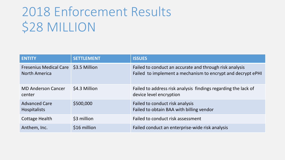# 2018 Enforcement Results \$28 MILLION

| <b>ENTITY</b>                                                | <b>SETTLEMENT</b> | <b>ISSUES</b>                                                                                                          |
|--------------------------------------------------------------|-------------------|------------------------------------------------------------------------------------------------------------------------|
| Fresenius Medical Care \$3.5 Million<br><b>North America</b> |                   | Failed to conduct an accurate and through risk analysis<br>Failed to implement a mechanism to encrypt and decrypt ePHI |
| <b>MD Anderson Cancer</b><br>center                          | \$4.3 Million     | Failed to address risk analysis findings regarding the lack of<br>device level encryption                              |
| <b>Advanced Care</b><br><b>Hospitalists</b>                  | \$500,000         | Failed to conduct risk analysis<br>Failed to obtain BAA with billing vendor                                            |
| Cottage Health                                               | \$3 million       | Failed to conduct risk assessment                                                                                      |
| Anthem, Inc.                                                 | \$16 million      | Failed conduct an enterprise-wide risk analysis                                                                        |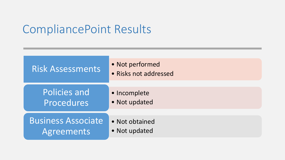### CompliancePoint Results

| <b>Risk Assessments</b>   | • Not performed<br>• Risks not addressed |
|---------------------------|------------------------------------------|
| Policies and              | · Incomplete                             |
| Procedures                | • Not updated                            |
| <b>Business Associate</b> | • Not obtained                           |
| <b>Agreements</b>         | • Not updated                            |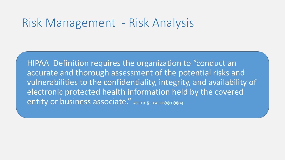### Risk Management - Risk Analysis

• HIPAA Definition requires the organization to "conduct an accurate and thorough assessment of the potential risks and vulnerabilities to the confidentiality, integrity, and availability of electronic protected health information held by the covered entity or business associate." 45 CFR § 164.308(a)(1)(ii)(A).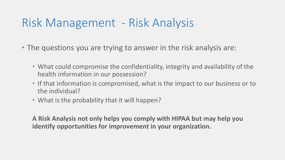## Risk Management - Risk Analysis

- The questions you are trying to answer in the risk analysis are:
	- What could compromise the confidentiality, integrity and availability of the health information in our possession?
	- If that information is compromised, what is the impact to our business or to the individual?
	- What is the probability that it will happen?

**A Risk Analysis not only helps you comply with HIPAA but may help you identify opportunities for improvement in your organization.**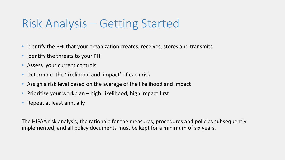## Risk Analysis – Getting Started

- Identify the PHI that your organization creates, receives, stores and transmits
- Identify the threats to your PHI
- Assess your current controls
- Determine the 'likelihood and impact' of each risk
- Assign a risk level based on the average of the likelihood and impact
- Prioritize your workplan high likelihood, high impact first
- Repeat at least annually

The HIPAA risk analysis, the rationale for the measures, procedures and policies subsequently implemented, and all policy documents must be kept for a minimum of six years.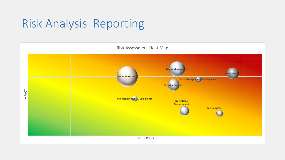# Risk Analysis Reporting

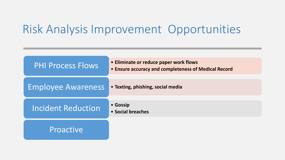### Risk Analysis Improvement Opportunities

| <b>PHI Process Flows</b>  | • Eliminate or reduce paper work flows<br>• Ensure accuracy and completeness of Medical Record |
|---------------------------|------------------------------------------------------------------------------------------------|
| <b>Employee Awareness</b> | • Texting, phishing, social media                                                              |
| <b>Incident Reduction</b> | • Gossip<br>• Social breaches                                                                  |
| Proactive                 |                                                                                                |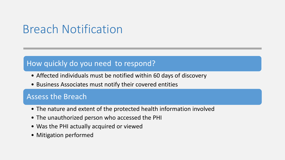## Breach Notification

### How quickly do you need to respond?

- Affected individuals must be notified within 60 days of discovery
- Business Associates must notify their covered entities

### Assess the Breach

- The nature and extent of the protected health information involved
- The unauthorized person who accessed the PHI
- Was the PHI actually acquired or viewed
- Mitigation performed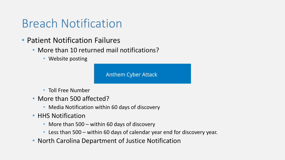### Breach Notification

- Patient Notification Failures
	- More than 10 returned mail notifications?
		- Website posting

**Anthem Cyber Attack** 

- Toll Free Number
- More than 500 affected?
	- Media Notification within 60 days of discovery
- HHS Notification
	- More than 500 within 60 days of discovery
	- Less than 500 within 60 days of calendar year end for discovery year.
- North Carolina Department of Justice Notification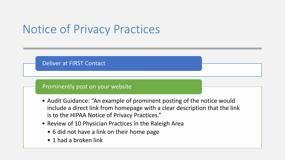## Notice of Privacy Practices



- include a direct link from homepage with a clear description that the link is to the HIPAA Notice of Privacy Practices."
- Review of 10 Physician Practices in the Raleigh Area
	- 6 did not have a link on their home page
	- 1 had a broken link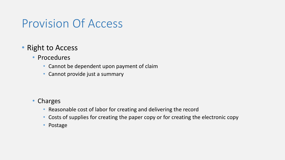### Provision Of Access

### • Right to Access

- Procedures
	- Cannot be dependent upon payment of claim
	- Cannot provide just a summary

#### • Charges

- Reasonable cost of labor for creating and delivering the record
- Costs of supplies for creating the paper copy or for creating the electronic copy
- Postage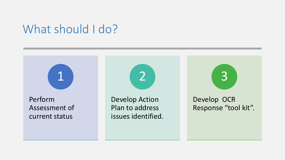### What should I do?

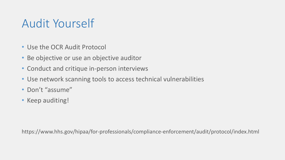# Audit Yourself

- Use the OCR Audit Protocol
- Be objective or use an objective auditor
- Conduct and critique in-person interviews
- Use network scanning tools to access technical vulnerabilities
- Don't "assume"
- Keep auditing!

https://www.hhs.gov/hipaa/for-professionals/compliance-enforcement/audit/protocol/index.html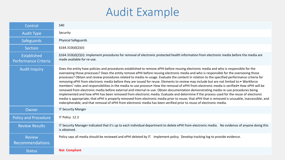# Audit Example

| Control                                    | <b>S40</b>                                                                                                                                                                                                                                                                                                                                                                                                                                                                                                                                                                                                                                                                                                                                                                                                                                                                                                                                                                                                                                                                                                                                                                                                                                                                                      |
|--------------------------------------------|-------------------------------------------------------------------------------------------------------------------------------------------------------------------------------------------------------------------------------------------------------------------------------------------------------------------------------------------------------------------------------------------------------------------------------------------------------------------------------------------------------------------------------------------------------------------------------------------------------------------------------------------------------------------------------------------------------------------------------------------------------------------------------------------------------------------------------------------------------------------------------------------------------------------------------------------------------------------------------------------------------------------------------------------------------------------------------------------------------------------------------------------------------------------------------------------------------------------------------------------------------------------------------------------------|
| <b>Audit Type</b>                          | Security                                                                                                                                                                                                                                                                                                                                                                                                                                                                                                                                                                                                                                                                                                                                                                                                                                                                                                                                                                                                                                                                                                                                                                                                                                                                                        |
| <b>Safeguards</b>                          | <b>Physical Safeguards</b>                                                                                                                                                                                                                                                                                                                                                                                                                                                                                                                                                                                                                                                                                                                                                                                                                                                                                                                                                                                                                                                                                                                                                                                                                                                                      |
| Section                                    | \$164.310(d)(2)(ii)                                                                                                                                                                                                                                                                                                                                                                                                                                                                                                                                                                                                                                                                                                                                                                                                                                                                                                                                                                                                                                                                                                                                                                                                                                                                             |
| Established<br><b>Performance Criteria</b> | §164.310(d)(2)(ii): Implement procedures for removal of electronic protected health information from electronic media before the media are<br>made available for re-use.                                                                                                                                                                                                                                                                                                                                                                                                                                                                                                                                                                                                                                                                                                                                                                                                                                                                                                                                                                                                                                                                                                                        |
| <b>Audit Inquiry</b>                       | Does the entity have policies and procedures established to remove ePHI before reusing electronic media and who is responsible for the<br>overseeing those processes? Does the entity remove ePHI before reusing electronic media and who is responsible for the overseeing those<br>processes? Obtain and review procedures related to media re-usage. Evaluate the content in relation to the specified performance criteria for<br>removing ePHI from electronic media before they are issued for reuse. Elements to review may include but are not limited to:• Workforce<br>members' roles and responsibilities in the media re-use process • How the removal of ePHI from electronic media is verified • How ePHI will be<br>removed from electronic media before external and internal re-use. Obtain documentation demonstrating media re-use procedures being<br>implemented and how ePHI has been removed from electronic media. Evaluate and determine if the process used for the reuse of electronic<br>media is appropriate; that ePHI is properly removed from electronic media prior to reuse; that ePHI that is removed is unusable, inaccessible, and<br>indecipherable; and that removal of ePHI from electronic media has been verified prior to reuse of electronic media. |
| Owner                                      | <b>IT Security Manger</b>                                                                                                                                                                                                                                                                                                                                                                                                                                                                                                                                                                                                                                                                                                                                                                                                                                                                                                                                                                                                                                                                                                                                                                                                                                                                       |
| <b>Policy and Procedure</b>                | IT Policy 12.3                                                                                                                                                                                                                                                                                                                                                                                                                                                                                                                                                                                                                                                                                                                                                                                                                                                                                                                                                                                                                                                                                                                                                                                                                                                                                  |
| <b>Review Results</b>                      | IT Security Manager indicated that it's up to each individual department to delete ePHI from electronic media. No evidence of anyone doing this<br>is obtained.                                                                                                                                                                                                                                                                                                                                                                                                                                                                                                                                                                                                                                                                                                                                                                                                                                                                                                                                                                                                                                                                                                                                 |
| <b>Review</b><br><b>Recommendations</b>    | Policy says all media should be reviewed and ePHI deleted by IT. Implement policy. Develop tracking log to provide evidence.                                                                                                                                                                                                                                                                                                                                                                                                                                                                                                                                                                                                                                                                                                                                                                                                                                                                                                                                                                                                                                                                                                                                                                    |
| <b>Status</b>                              | <b>Not Compliant</b>                                                                                                                                                                                                                                                                                                                                                                                                                                                                                                                                                                                                                                                                                                                                                                                                                                                                                                                                                                                                                                                                                                                                                                                                                                                                            |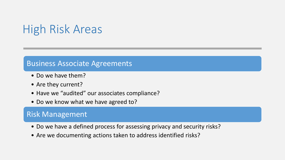# High Risk Areas

#### Business Associate Agreements

- Do we have them?
- Are they current?
- Have we "audited" our associates compliance?
- Do we know what we have agreed to?

### Risk Management

- Do we have a defined process for assessing privacy and security risks?
- Are we documenting actions taken to address identified risks?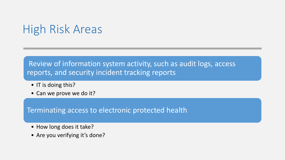## High Risk Areas

### Review of information system activity, such as audit logs, access reports, and security incident tracking reports

- IT is doing this?
- Can we prove we do it?

Terminating access to electronic protected health

- How long does it take?
- Are you verifying it's done?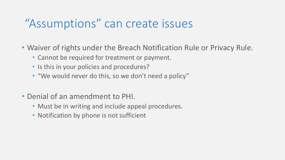### "Assumptions" can create issues

- Waiver of rights under the Breach Notification Rule or Privacy Rule.
	- Cannot be required for treatment or payment.
	- Is this in your policies and procedures?
	- "We would never do this, so we don't need a policy"
- Denial of an amendment to PHI.
	- Must be in writing and include appeal procedures.
	- Notification by phone is not sufficient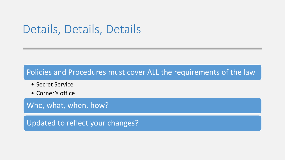### Details, Details, Details

### Policies and Procedures must cover ALL the requirements of the law

- Secret Service
- Corner's office

Who, what, when, how?

Updated to reflect your changes?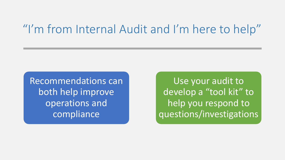### "I'm from Internal Audit and I'm here to help"

Recommendations can both help improve operations and compliance

Use your audit to develop a "tool kit" to help you respond to questions/investigations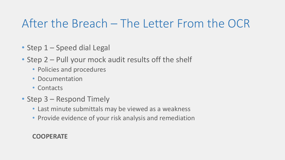### After the Breach – The Letter From the OCR

- Step 1 Speed dial Legal
- Step 2 Pull your mock audit results off the shelf
	- Policies and procedures
	- Documentation
	- Contacts
- Step 3 Respond Timely
	- Last minute submittals may be viewed as a weakness
	- Provide evidence of your risk analysis and remediation

### **COOPERATE**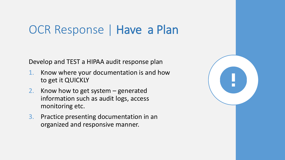### OCR Response | Have a Plan

Develop and TEST a HIPAA audit response plan

- 1. Know where your documentation is and how to get it QUICKLY
- 2. Know how to get system generated information such as audit logs, access monitoring etc.
- 3. Practice presenting documentation in an organized and responsive manner.

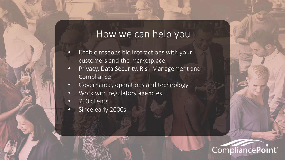### How we can help you

- Enable responsible interactions with your customers and the marketplace
- Privacy, Data Security, Risk Management and Compliance
- Governance, operations and technology
- Work with regulatory agencies
- 750 clients
- Since early 2000s

### CompliancePoint<sup>®</sup>